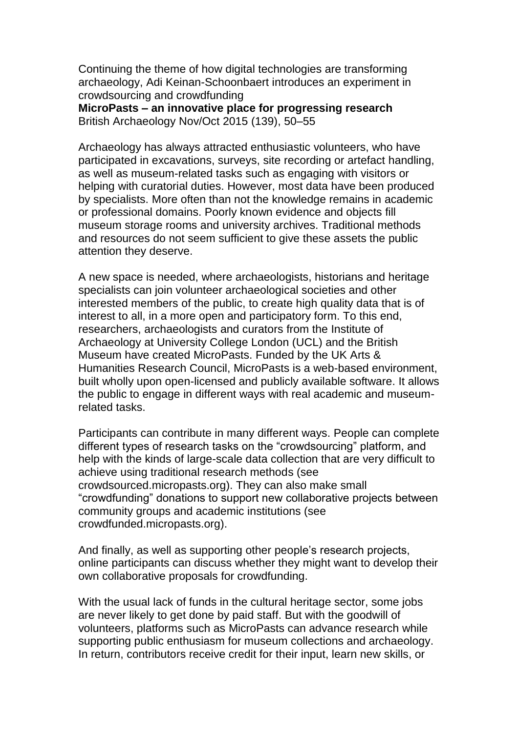Continuing the theme of how digital technologies are transforming archaeology, Adi Keinan-Schoonbaert introduces an experiment in crowdsourcing and crowdfunding

**MicroPasts – an innovative place for progressing research** British Archaeology Nov/Oct 2015 (139), 50–55

Archaeology has always attracted enthusiastic volunteers, who have participated in excavations, surveys, site recording or artefact handling, as well as museum-related tasks such as engaging with visitors or helping with curatorial duties. However, most data have been produced by specialists. More often than not the knowledge remains in academic or professional domains. Poorly known evidence and objects fill museum storage rooms and university archives. Traditional methods and resources do not seem sufficient to give these assets the public attention they deserve.

A new space is needed, where archaeologists, historians and heritage specialists can join volunteer archaeological societies and other interested members of the public, to create high quality data that is of interest to all, in a more open and participatory form. To this end, researchers, archaeologists and curators from the Institute of Archaeology at University College London (UCL) and the British Museum have created MicroPasts. Funded by the UK Arts & Humanities Research Council, MicroPasts is a web-based environment, built wholly upon open-licensed and publicly available software. It allows the public to engage in different ways with real academic and museumrelated tasks.

Participants can contribute in many different ways. People can complete different types of research tasks on the "crowdsourcing" platform, and help with the kinds of large-scale data collection that are very difficult to achieve using traditional research methods (see crowdsourced.micropasts.org). They can also make small "crowdfunding" donations to support new collaborative projects between community groups and academic institutions (see crowdfunded.micropasts.org).

And finally, as well as supporting other people's research projects, online participants can discuss whether they might want to develop their own collaborative proposals for crowdfunding.

With the usual lack of funds in the cultural heritage sector, some jobs are never likely to get done by paid staff. But with the goodwill of volunteers, platforms such as MicroPasts can advance research while supporting public enthusiasm for museum collections and archaeology. In return, contributors receive credit for their input, learn new skills, or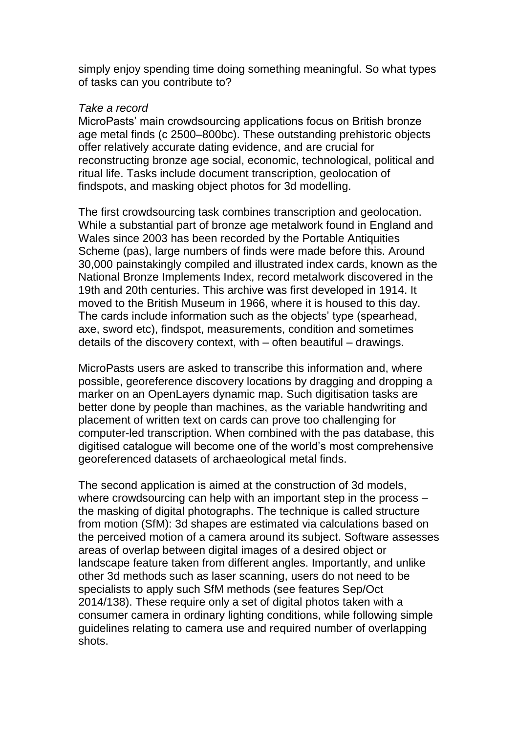simply enjoy spending time doing something meaningful. So what types of tasks can you contribute to?

## *Take a record*

MicroPasts' main crowdsourcing applications focus on British bronze age metal finds (c 2500–800bc). These outstanding prehistoric objects offer relatively accurate dating evidence, and are crucial for reconstructing bronze age social, economic, technological, political and ritual life. Tasks include document transcription, geolocation of findspots, and masking object photos for 3d modelling.

The first crowdsourcing task combines transcription and geolocation. While a substantial part of bronze age metalwork found in England and Wales since 2003 has been recorded by the Portable Antiquities Scheme (pas), large numbers of finds were made before this. Around 30,000 painstakingly compiled and illustrated index cards, known as the National Bronze Implements Index, record metalwork discovered in the 19th and 20th centuries. This archive was first developed in 1914. It moved to the British Museum in 1966, where it is housed to this day. The cards include information such as the objects' type (spearhead, axe, sword etc), findspot, measurements, condition and sometimes details of the discovery context, with – often beautiful – drawings.

MicroPasts users are asked to transcribe this information and, where possible, georeference discovery locations by dragging and dropping a marker on an OpenLayers dynamic map. Such digitisation tasks are better done by people than machines, as the variable handwriting and placement of written text on cards can prove too challenging for computer-led transcription. When combined with the pas database, this digitised catalogue will become one of the world's most comprehensive georeferenced datasets of archaeological metal finds.

The second application is aimed at the construction of 3d models, where crowdsourcing can help with an important step in the process – the masking of digital photographs. The technique is called structure from motion (SfM): 3d shapes are estimated via calculations based on the perceived motion of a camera around its subject. Software assesses areas of overlap between digital images of a desired object or landscape feature taken from different angles. Importantly, and unlike other 3d methods such as laser scanning, users do not need to be specialists to apply such SfM methods (see features Sep/Oct 2014/138). These require only a set of digital photos taken with a consumer camera in ordinary lighting conditions, while following simple guidelines relating to camera use and required number of overlapping shots.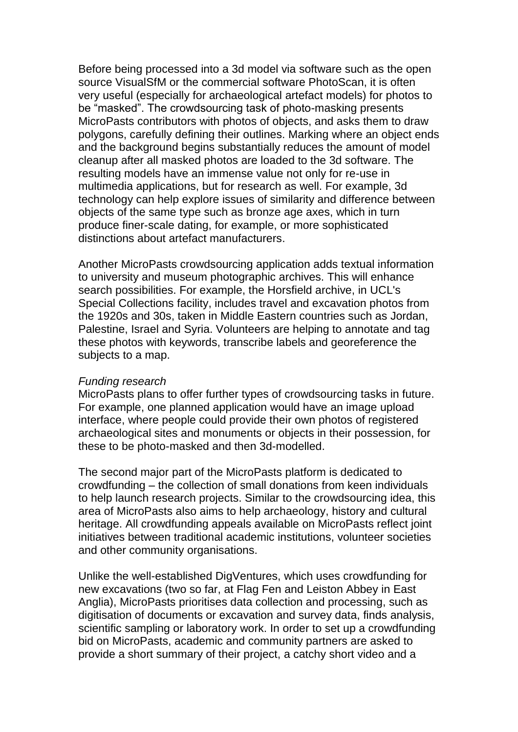Before being processed into a 3d model via software such as the open source VisualSfM or the commercial software PhotoScan, it is often very useful (especially for archaeological artefact models) for photos to be "masked". The crowdsourcing task of photo-masking presents MicroPasts contributors with photos of objects, and asks them to draw polygons, carefully defining their outlines. Marking where an object ends and the background begins substantially reduces the amount of model cleanup after all masked photos are loaded to the 3d software. The resulting models have an immense value not only for re-use in multimedia applications, but for research as well. For example, 3d technology can help explore issues of similarity and difference between objects of the same type such as bronze age axes, which in turn produce finer-scale dating, for example, or more sophisticated distinctions about artefact manufacturers.

Another MicroPasts crowdsourcing application adds textual information to university and museum photographic archives. This will enhance search possibilities. For example, the Horsfield archive, in UCL's Special Collections facility, includes travel and excavation photos from the 1920s and 30s, taken in Middle Eastern countries such as Jordan, Palestine, Israel and Syria. Volunteers are helping to annotate and tag these photos with keywords, transcribe labels and georeference the subjects to a map.

## *Funding research*

MicroPasts plans to offer further types of crowdsourcing tasks in future. For example, one planned application would have an image upload interface, where people could provide their own photos of registered archaeological sites and monuments or objects in their possession, for these to be photo-masked and then 3d-modelled.

The second major part of the MicroPasts platform is dedicated to crowdfunding – the collection of small donations from keen individuals to help launch research projects. Similar to the crowdsourcing idea, this area of MicroPasts also aims to help archaeology, history and cultural heritage. All crowdfunding appeals available on MicroPasts reflect joint initiatives between traditional academic institutions, volunteer societies and other community organisations.

Unlike the well-established DigVentures, which uses crowdfunding for new excavations (two so far, at Flag Fen and Leiston Abbey in East Anglia), MicroPasts prioritises data collection and processing, such as digitisation of documents or excavation and survey data, finds analysis, scientific sampling or laboratory work. In order to set up a crowdfunding bid on MicroPasts, academic and community partners are asked to provide a short summary of their project, a catchy short video and a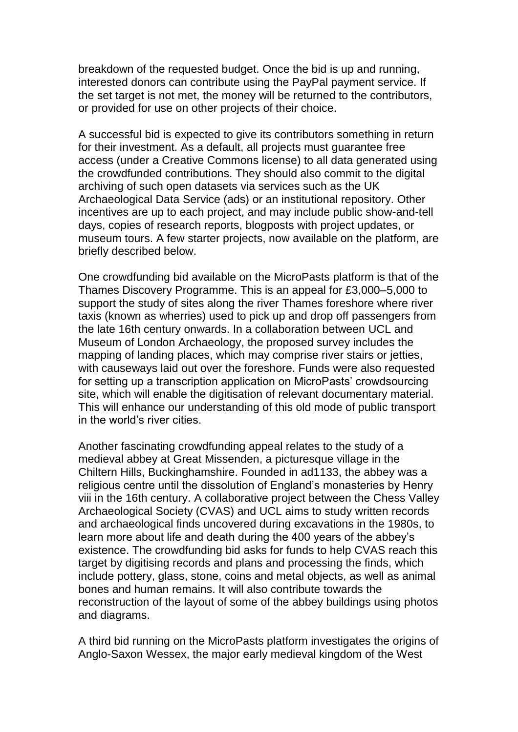breakdown of the requested budget. Once the bid is up and running, interested donors can contribute using the PayPal payment service. If the set target is not met, the money will be returned to the contributors, or provided for use on other projects of their choice.

A successful bid is expected to give its contributors something in return for their investment. As a default, all projects must guarantee free access (under a Creative Commons license) to all data generated using the crowdfunded contributions. They should also commit to the digital archiving of such open datasets via services such as the UK Archaeological Data Service (ads) or an institutional repository. Other incentives are up to each project, and may include public show-and-tell days, copies of research reports, blogposts with project updates, or museum tours. A few starter projects, now available on the platform, are briefly described below.

One crowdfunding bid available on the MicroPasts platform is that of the Thames Discovery Programme. This is an appeal for £3,000–5,000 to support the study of sites along the river Thames foreshore where river taxis (known as wherries) used to pick up and drop off passengers from the late 16th century onwards. In a collaboration between UCL and Museum of London Archaeology, the proposed survey includes the mapping of landing places, which may comprise river stairs or jetties, with causeways laid out over the foreshore. Funds were also requested for setting up a transcription application on MicroPasts' crowdsourcing site, which will enable the digitisation of relevant documentary material. This will enhance our understanding of this old mode of public transport in the world's river cities.

Another fascinating crowdfunding appeal relates to the study of a medieval abbey at Great Missenden, a picturesque village in the Chiltern Hills, Buckinghamshire. Founded in ad1133, the abbey was a religious centre until the dissolution of England's monasteries by Henry viii in the 16th century. A collaborative project between the Chess Valley Archaeological Society (CVAS) and UCL aims to study written records and archaeological finds uncovered during excavations in the 1980s, to learn more about life and death during the 400 years of the abbey's existence. The crowdfunding bid asks for funds to help CVAS reach this target by digitising records and plans and processing the finds, which include pottery, glass, stone, coins and metal objects, as well as animal bones and human remains. It will also contribute towards the reconstruction of the layout of some of the abbey buildings using photos and diagrams.

A third bid running on the MicroPasts platform investigates the origins of Anglo-Saxon Wessex, the major early medieval kingdom of the West